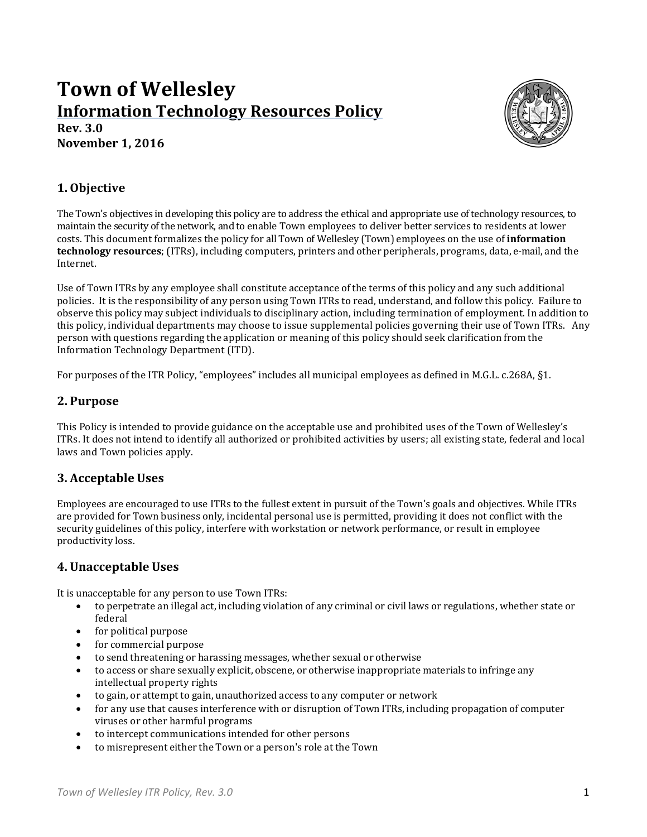# **Town of Wellesley Information Technology Resources Policy Rev. 3.0**

**November 1, 2016**



## **1. Objective**

The Town's objectives in developing this policy are to address the ethical and appropriate use of technology resources, to maintain the security of the network, and to enable Town employees to deliver better services to residents at lower costs. This document formalizes the policy for all Town of Wellesley (Town) employees on the use of **information technology resources**; (ITRs), including computers, printers and other peripherals, programs, data, e-mail, and the Internet. 

Use of Town ITRs by any employee shall constitute acceptance of the terms of this policy and any such additional policies. It is the responsibility of any person using Town ITRs to read, understand, and follow this policy. Failure to observe this policy may subject individuals to disciplinary action, including termination of employment. In addition to this policy, individual departments may choose to issue supplemental policies governing their use of Town ITRs. Any person with questions regarding the application or meaning of this policy should seek clarification from the Information Technology Department (ITD).

For purposes of the ITR Policy, "employees" includes all municipal employees as defined in M.G.L. c.268A, §1.

### **2. Purpose**

This Policy is intended to provide guidance on the acceptable use and prohibited uses of the Town of Wellesley's ITRs. It does not intend to identify all authorized or prohibited activities by users; all existing state, federal and local laws and Town policies apply.

### **3. Acceptable Uses**

Employees are encouraged to use ITRs to the fullest extent in pursuit of the Town's goals and objectives. While ITRs are provided for Town business only, incidental personal use is permitted, providing it does not conflict with the security guidelines of this policy, interfere with workstation or network performance, or result in employee productivity loss.

#### **4. Unacceptable Uses**

It is unacceptable for any person to use Town ITRs:

- to perpetrate an illegal act, including violation of any criminal or civil laws or regulations, whether state or federal
- for political purpose
- for commercial purpose
- to send threatening or harassing messages, whether sexual or otherwise
- to access or share sexually explicit, obscene, or otherwise inappropriate materials to infringe any intellectual property rights
- to gain, or attempt to gain, unauthorized access to any computer or network
- for any use that causes interference with or disruption of Town ITRs, including propagation of computer viruses or other harmful programs
- to intercept communications intended for other persons
- to misrepresent either the Town or a person's role at the Town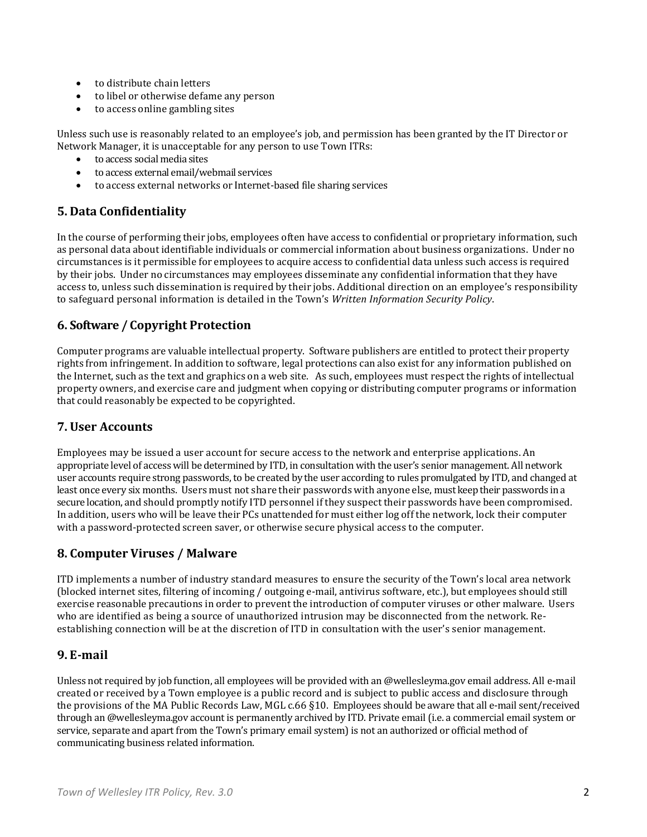- to distribute chain letters
- to libel or otherwise defame any person
- to access online gambling sites

Unless such use is reasonably related to an employee's job, and permission has been granted by the IT Director or Network Manager, it is unacceptable for any person to use Town ITRs:

- $\bullet$  to access social media sites
- to access external email/webmail services
- to access external networks or Internet-based file sharing services

## **5. Data Confidentiality**

In the course of performing their jobs, employees often have access to confidential or proprietary information, such as personal data about identifiable individuals or commercial information about business organizations. Under no circumstances is it permissible for employees to acquire access to confidential data unless such access is required by their jobs. Under no circumstances may employees disseminate any confidential information that they have access to, unless such dissemination is required by their jobs. Additional direction on an employee's responsibility to safeguard personal information is detailed in the Town's *Written Information Security Policy*. 

# **6. Software / Copyright Protection**

Computer programs are valuable intellectual property. Software publishers are entitled to protect their property rights from infringement. In addition to software, legal protections can also exist for any information published on the Internet, such as the text and graphics on a web site. As such, employees must respect the rights of intellectual property owners, and exercise care and judgment when copying or distributing computer programs or information that could reasonably be expected to be copyrighted.

### **7. User Accounts**

Employees may be issued a user account for secure access to the network and enterprise applications. An appropriate level of access will be determined by ITD, in consultation with the user's senior management. All network user accounts require strong passwords, to be created by the user according to rules promulgated by ITD, and changed at least once every six months. Users must not share their passwords with anyone else, must keep their passwords in a secure location, and should promptly notify ITD personnel if they suspect their passwords have been compromised. In addition, users who will be leave their PCs unattended for must either log off the network, lock their computer with a password-protected screen saver, or otherwise secure physical access to the computer.

# **8. Computer Viruses / Malware**

ITD implements a number of industry standard measures to ensure the security of the Town's local area network (blocked internet sites, filtering of incoming / outgoing e-mail, antivirus software, etc.), but employees should still exercise reasonable precautions in order to prevent the introduction of computer viruses or other malware. Users who are identified as being a source of unauthorized intrusion may be disconnected from the network. Reestablishing connection will be at the discretion of ITD in consultation with the user's senior management.

### **9. E‐mail**

Unless not required by job function, all employees will be provided with an @wellesleyma.gov email address. All e-mail created or received by a Town employee is a public record and is subject to public access and disclosure through the provisions of the MA Public Records Law, MGL c.66  $\S10$ . Employees should be aware that all e-mail sent/received through an @wellesleyma.gov account is permanently archived by ITD. Private email (i.e. a commercial email system or service, separate and apart from the Town's primary email system) is not an authorized or official method of communicating business related information.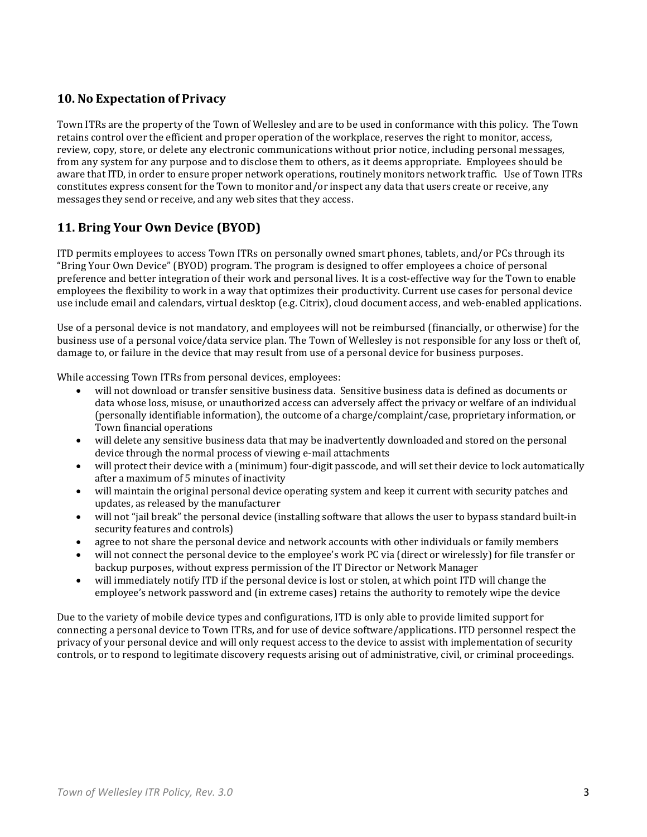## **10. No Expectation of Privacy**

Town ITRs are the property of the Town of Wellesley and are to be used in conformance with this policy. The Town retains control over the efficient and proper operation of the workplace, reserves the right to monitor, access, review, copy, store, or delete any electronic communications without prior notice, including personal messages, from any system for any purpose and to disclose them to others, as it deems appropriate. Employees should be aware that ITD, in order to ensure proper network operations, routinely monitors network traffic. Use of Town ITRs constitutes express consent for the Town to monitor and/or inspect any data that users create or receive, any messages they send or receive, and any web sites that they access.

# **11. Bring Your Own Device (BYOD)**

ITD permits employees to access Town ITRs on personally owned smart phones, tablets, and/or PCs through its "Bring Your Own Device" (BYOD) program. The program is designed to offer employees a choice of personal preference and better integration of their work and personal lives. It is a cost-effective way for the Town to enable employees the flexibility to work in a way that optimizes their productivity. Current use cases for personal device use include email and calendars, virtual desktop  $(e.g.$  Citrix), cloud document access, and web-enabled applications.

Use of a personal device is not mandatory, and employees will not be reimbursed (financially, or otherwise) for the business use of a personal voice/data service plan. The Town of Wellesley is not responsible for any loss or theft of, damage to, or failure in the device that may result from use of a personal device for business purposes.

While accessing Town ITRs from personal devices, employees:

- will not download or transfer sensitive business data. Sensitive business data is defined as documents or data whose loss, misuse, or unauthorized access can adversely affect the privacy or welfare of an individual (personally identifiable information), the outcome of a charge/complaint/case, proprietary information, or Town financial operations
- will delete any sensitive business data that may be inadvertently downloaded and stored on the personal device through the normal process of viewing e-mail attachments
- will protect their device with a (minimum) four-digit passcode, and will set their device to lock automatically after a maximum of 5 minutes of inactivity
- will maintain the original personal device operating system and keep it current with security patches and updates, as released by the manufacturer
- will not "jail break" the personal device (installing software that allows the user to bypass standard built-in security features and controls)
- agree to not share the personal device and network accounts with other individuals or family members
- will not connect the personal device to the employee's work PC via (direct or wirelessly) for file transfer or backup purposes, without express permission of the IT Director or Network Manager
- will immediately notify ITD if the personal device is lost or stolen, at which point ITD will change the employee's network password and (in extreme cases) retains the authority to remotely wipe the device

Due to the variety of mobile device types and configurations, ITD is only able to provide limited support for connecting a personal device to Town ITRs, and for use of device software/applications. ITD personnel respect the privacy of your personal device and will only request access to the device to assist with implementation of security controls, or to respond to legitimate discovery requests arising out of administrative, civil, or criminal proceedings.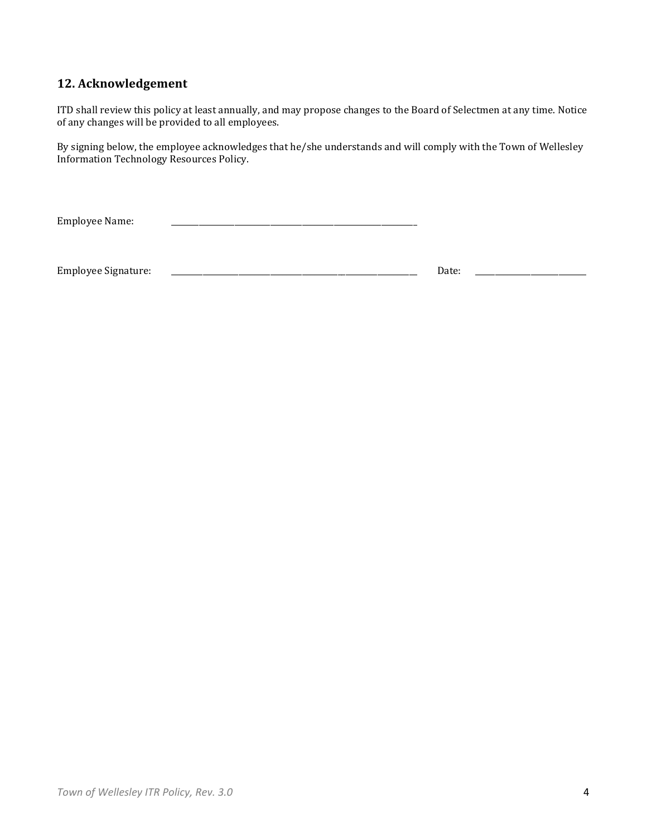# **12. Acknowledgement**

ITD shall review this policy at least annually, and may propose changes to the Board of Selectmen at any time. Notice of any changes will be provided to all employees.

By signing below, the employee acknowledges that he/she understands and will comply with the Town of Wellesley Information Technology Resources Policy. 

| <b>Employee Name:</b>      |  |       |  |
|----------------------------|--|-------|--|
|                            |  |       |  |
| <b>Employee Signature:</b> |  | Date: |  |
|                            |  |       |  |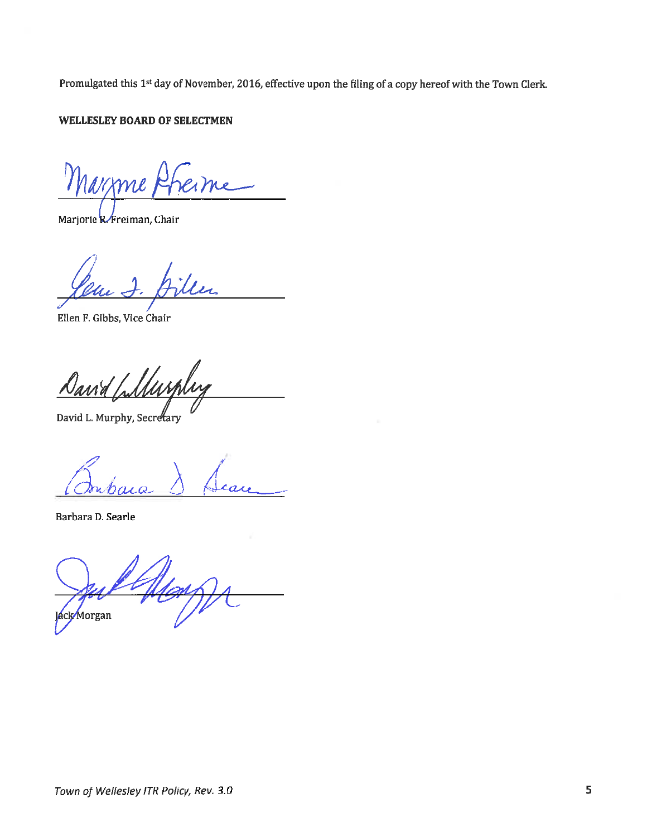Promulgated this 1<sup>st</sup> day of November, 2016, effective upon the filing of a copy hereof with the Town Clerk.

#### WELLESLEY BOARD OF SELECTMEN

Marzme)

Marjorie R Freiman, Chair

Ellen F. Gibbs, Vice Chair

<u>Dania</u> Wurk

David L. Murphy, Secretary

Barbara D. Searle

**áck/Morgan**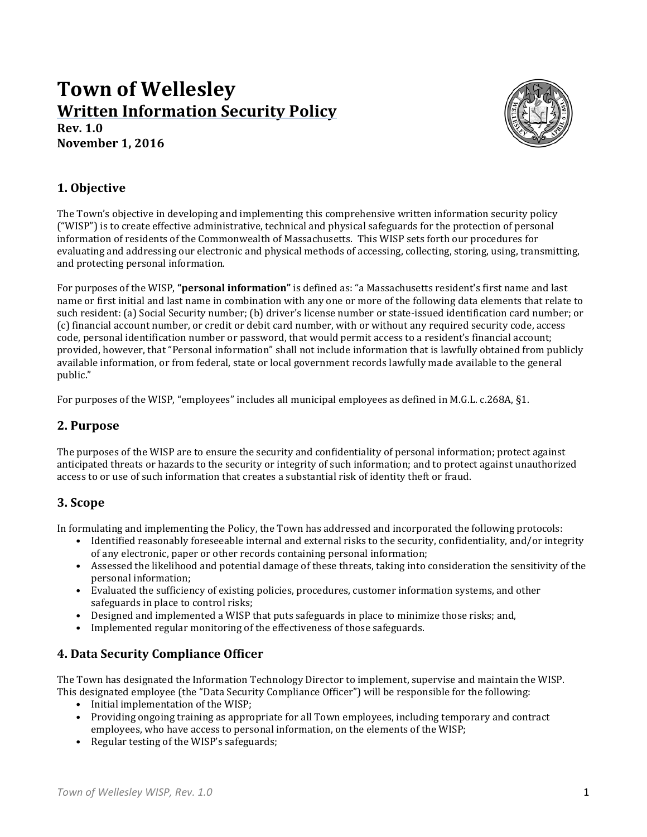# **Town of Wellesley Written Information Security Policy Rev. 1.0**

**November 1, 2016**



### **1. Objective**

The Town's objective in developing and implementing this comprehensive written information security policy ("WISP") is to create effective administrative, technical and physical safeguards for the protection of personal information of residents of the Commonwealth of Massachusetts. This WISP sets forth our procedures for evaluating and addressing our electronic and physical methods of accessing, collecting, storing, using, transmitting, and protecting personal information.

For purposes of the WISP, "**personal information**" is defined as: "a Massachusetts resident's first name and last name or first initial and last name in combination with any one or more of the following data elements that relate to such resident: (a) Social Security number; (b) driver's license number or state-issued identification card number; or (c) financial account number, or credit or debit card number, with or without any required security code, access code, personal identification number or password, that would permit access to a resident's financial account; provided, however, that "Personal information" shall not include information that is lawfully obtained from publicly available information, or from federal, state or local government records lawfully made available to the general public." 

For purposes of the WISP, "employees" includes all municipal employees as defined in M.G.L. c.268A, §1.

#### **2. Purpose**

The purposes of the WISP are to ensure the security and confidentiality of personal information; protect against anticipated threats or hazards to the security or integrity of such information; and to protect against unauthorized access to or use of such information that creates a substantial risk of identity theft or fraud.

### **3. Scope**

In formulating and implementing the Policy, the Town has addressed and incorporated the following protocols:

- Identified reasonably foreseeable internal and external risks to the security, confidentiality, and/or integrity of any electronic, paper or other records containing personal information;
- Assessed the likelihood and potential damage of these threats, taking into consideration the sensitivity of the personal information:
- Evaluated the sufficiency of existing policies, procedures, customer information systems, and other safeguards in place to control risks;
- Designed and implemented a WISP that puts safeguards in place to minimize those risks; and,
- Implemented regular monitoring of the effectiveness of those safeguards.

# **4. Data Security Compliance Officer**

The Town has designated the Information Technology Director to implement, supervise and maintain the WISP. This designated employee (the "Data Security Compliance Officer") will be responsible for the following:

- Initial implementation of the WISP;
- Providing ongoing training as appropriate for all Town employees, including temporary and contract employees, who have access to personal information, on the elements of the WISP;
- Regular testing of the WISP's safeguards;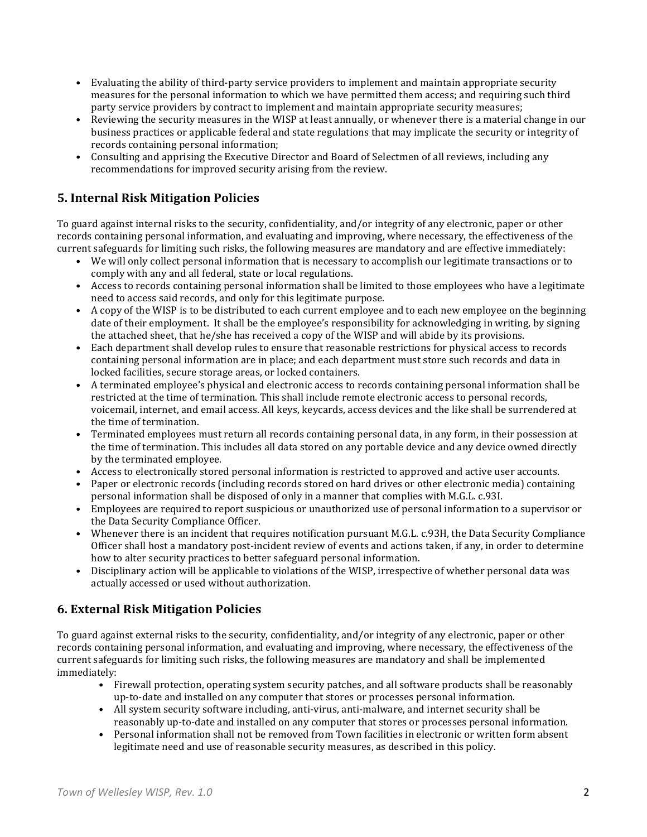- Evaluating the ability of third-party service providers to implement and maintain appropriate security measures for the personal information to which we have permitted them access; and requiring such third party service providers by contract to implement and maintain appropriate security measures;
- Reviewing the security measures in the WISP at least annually, or whenever there is a material change in our business practices or applicable federal and state regulations that may implicate the security or integrity of records containing personal information;
- Consulting and apprising the Executive Director and Board of Selectmen of all reviews, including any recommendations for improved security arising from the review.

# **5. Internal Risk Mitigation Policies**

To guard against internal risks to the security, confidentiality, and/or integrity of any electronic, paper or other records containing personal information, and evaluating and improving, where necessary, the effectiveness of the current safeguards for limiting such risks, the following measures are mandatory and are effective immediately:

- We will only collect personal information that is necessary to accomplish our legitimate transactions or to comply with any and all federal, state or local regulations.
- Access to records containing personal information shall be limited to those employees who have a legitimate need to access said records, and only for this legitimate purpose.
- A copy of the WISP is to be distributed to each current employee and to each new employee on the beginning date of their employment. It shall be the employee's responsibility for acknowledging in writing, by signing the attached sheet, that he/she has received a copy of the WISP and will abide by its provisions.
- Each department shall develop rules to ensure that reasonable restrictions for physical access to records containing personal information are in place; and each department must store such records and data in locked facilities, secure storage areas, or locked containers.
- A terminated employee's physical and electronic access to records containing personal information shall be restricted at the time of termination. This shall include remote electronic access to personal records, voicemail, internet, and email access. All keys, keycards, access devices and the like shall be surrendered at the time of termination.
- Terminated employees must return all records containing personal data, in any form, in their possession at the time of termination. This includes all data stored on any portable device and any device owned directly by the terminated employee.
- Access to electronically stored personal information is restricted to approved and active user accounts.
- Paper or electronic records (including records stored on hard drives or other electronic media) containing personal information shall be disposed of only in a manner that complies with M.G.L. c.93I.
- Employees are required to report suspicious or unauthorized use of personal information to a supervisor or the Data Security Compliance Officer.
- Whenever there is an incident that requires notification pursuant M.G.L. c.93H, the Data Security Compliance Officer shall host a mandatory post-incident review of events and actions taken, if any, in order to determine how to alter security practices to better safeguard personal information.
- Disciplinary action will be applicable to violations of the WISP, irrespective of whether personal data was actually accessed or used without authorization.

# **6. External Risk Mitigation Policies**

To guard against external risks to the security, confidentiality, and/or integrity of any electronic, paper or other records containing personal information, and evaluating and improving, where necessary, the effectiveness of the current safeguards for limiting such risks, the following measures are mandatory and shall be implemented immediately: 

- Firewall protection, operating system security patches, and all software products shall be reasonably up-to-date and installed on any computer that stores or processes personal information.
- All system security software including, anti-virus, anti-malware, and internet security shall be reasonably up-to-date and installed on any computer that stores or processes personal information.
- Personal information shall not be removed from Town facilities in electronic or written form absent legitimate need and use of reasonable security measures, as described in this policy.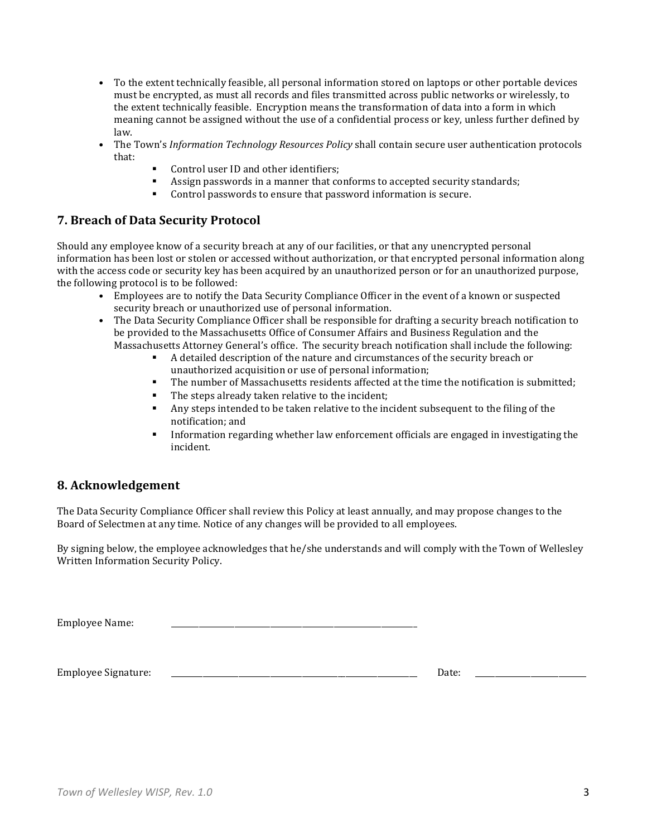- To the extent technically feasible, all personal information stored on laptops or other portable devices must be encrypted, as must all records and files transmitted across public networks or wirelessly, to the extent technically feasible. Encryption means the transformation of data into a form in which meaning cannot be assigned without the use of a confidential process or key, unless further defined by law.
- The Town's *Information Technology Resources Policy* shall contain secure user authentication protocols that:
	- Control user ID and other identifiers;
	- Assign passwords in a manner that conforms to accepted security standards;
	- Control passwords to ensure that password information is secure.

### **7. Breach of Data Security Protocol**

Should any employee know of a security breach at any of our facilities, or that any unencrypted personal information has been lost or stolen or accessed without authorization, or that encrypted personal information along with the access code or security key has been acquired by an unauthorized person or for an unauthorized purpose, the following protocol is to be followed:

- Employees are to notify the Data Security Compliance Officer in the event of a known or suspected security breach or unauthorized use of personal information.
- The Data Security Compliance Officer shall be responsible for drafting a security breach notification to be provided to the Massachusetts Office of Consumer Affairs and Business Regulation and the Massachusetts Attorney General's office. The security breach notification shall include the following:
	- A detailed description of the nature and circumstances of the security breach or unauthorized acquisition or use of personal information;
	- **The number of Massachusetts residents affected at the time the notification is submitted:**
	- $\blacksquare$  The steps already taken relative to the incident;
	- Any steps intended to be taken relative to the incident subsequent to the filing of the notification; and
	- Information regarding whether law enforcement officials are engaged in investigating the incident.

#### **8. Acknowledgement**

The Data Security Compliance Officer shall review this Policy at least annually, and may propose changes to the Board of Selectmen at any time. Notice of any changes will be provided to all employees.

By signing below, the employee acknowledges that he/she understands and will comply with the Town of Wellesley Written Information Security Policy.

Employee Name:

Employee Signature: \_\_\_\_\_\_\_\_\_\_\_\_\_\_\_\_\_\_\_\_\_\_\_\_\_\_\_\_\_\_\_\_\_\_\_\_\_\_\_\_\_\_\_\_\_\_\_\_\_\_\_\_\_\_\_\_\_\_\_\_\_\_ Date: \_\_\_\_\_\_\_\_\_\_\_\_\_\_\_\_\_\_\_\_\_\_\_\_\_\_\_\_